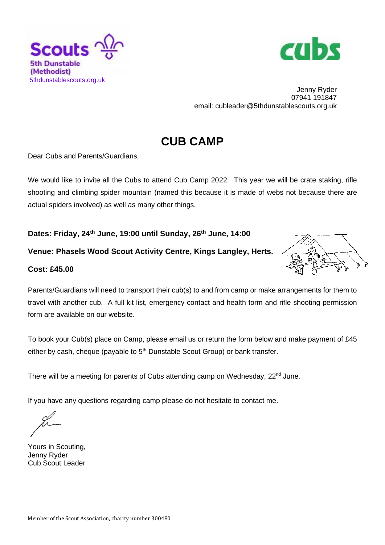



Jenny Ryder 07941 191847 email: cubleader@5thdunstablescouts.org.uk

## **CUB CAMP**

Dear Cubs and Parents/Guardians,

We would like to invite all the Cubs to attend Cub Camp 2022. This year we will be crate staking, rifle shooting and climbing spider mountain (named this because it is made of webs not because there are actual spiders involved) as well as many other things.

**Dates: Friday, 24th June, 19:00 until Sunday, 26th June, 14:00**

## **Venue: Phasels Wood Scout Activity Centre, Kings Langley, Herts.**

## **Cost: £45.00**



Parents/Guardians will need to transport their cub(s) to and from camp or make arrangements for them to travel with another cub.A full kit list, emergency contact and health form and rifle shooting permission form are available on our website.

To book your Cub(s) place on Camp, please email us or return the form below and make payment of £45 either by cash, cheque (payable to  $5<sup>th</sup>$  Dunstable Scout Group) or bank transfer.

There will be a meeting for parents of Cubs attending camp on Wednesday, 22<sup>nd</sup> June.

If you have any questions regarding camp please do not hesitate to contact me.

Yours in Scouting, Jenny Ryder Cub Scout Leader